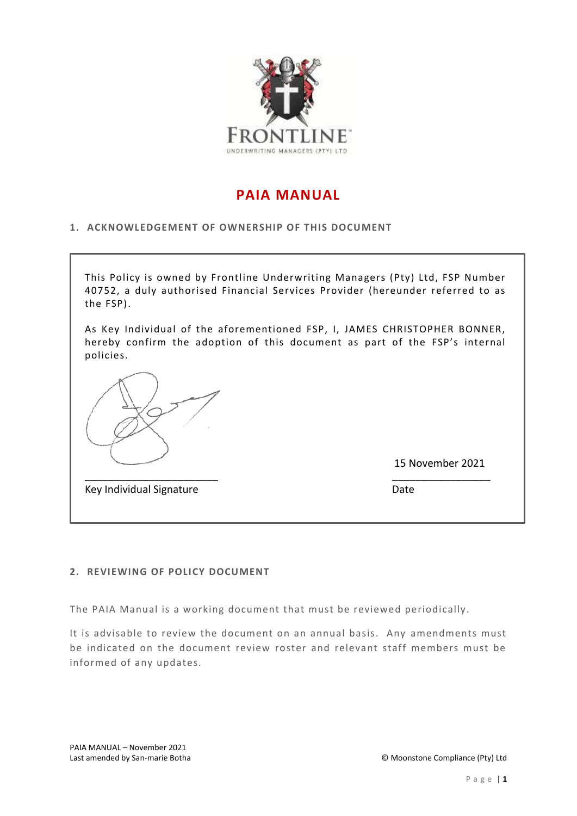

# **PAIA MANUAL**

### **1. ACKNOWLEDGEMENT OF OWNERSHIP OF THIS DOCUMENT**



### **2. REVIEWING OF POLICY DOCUMENT**

The PAIA Manual is a working document that must be reviewed periodically.

It is advisable to review the document on an annual basis. Any amendments must be indicated on the document review roster and relevant staff members must be informed of any updates.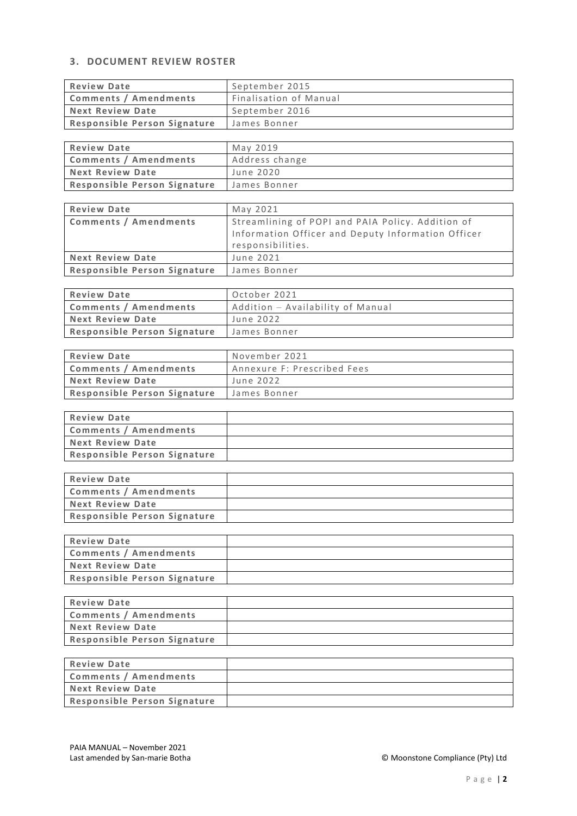# **3. DOCUMENT REVIEW ROSTER**

| <b>Review Date</b>           | September 2015         |
|------------------------------|------------------------|
| Comments / Amendments        | Finalisation of Manual |
| Next Review Date             | September 2016         |
| Responsible Person Signature | James Bonner           |

| <b>Review Date</b>           | May 2019       |
|------------------------------|----------------|
| Comments / Amendments        | Address change |
| <b>Next Review Date</b>      | June 2020      |
| Responsible Person Signature | James Bonner   |

| <b>Review Date</b>           | May 2021                                           |
|------------------------------|----------------------------------------------------|
| <b>Comments / Amendments</b> | Streamlining of POPI and PAIA Policy. Addition of  |
|                              | Information Officer and Deputy Information Officer |
|                              | responsibilities.                                  |
| <b>Next Review Date</b>      | June 2021                                          |
| Responsible Person Signature | James Bonner                                       |

| <b>Review Date</b>           | October 2021                      |
|------------------------------|-----------------------------------|
| <b>Comments / Amendments</b> | Addition - Availability of Manual |
| <b>Next Review Date</b>      | June 2022                         |
| Responsible Person Signature | James Bonner                      |

| <b>Review Date</b>           | November 2021               |
|------------------------------|-----------------------------|
| Comments / Amendments        | Annexure F: Prescribed Fees |
| Next Review Date             | June 2022                   |
| Responsible Person Signature | James Bonner                |

| <b>Review Date</b>           |  |
|------------------------------|--|
| Comments / Amendments        |  |
| Next Review Date             |  |
| Responsible Person Signature |  |

| <b>Review Date</b>           |  |
|------------------------------|--|
| Comments / Amendments        |  |
| <b>Next Review Date</b>      |  |
| Responsible Person Signature |  |

| <b>Review Date</b>           |  |
|------------------------------|--|
| Comments / Amendments        |  |
| Next Review Date             |  |
| Responsible Person Signature |  |

| <b>Review Date</b>           |  |
|------------------------------|--|
| Comments / Amendments        |  |
| Next Review Date             |  |
| Responsible Person Signature |  |

| <b>Review Date</b>           |  |
|------------------------------|--|
| Comments / Amendments        |  |
| <b>Next Review Date</b>      |  |
| Responsible Person Signature |  |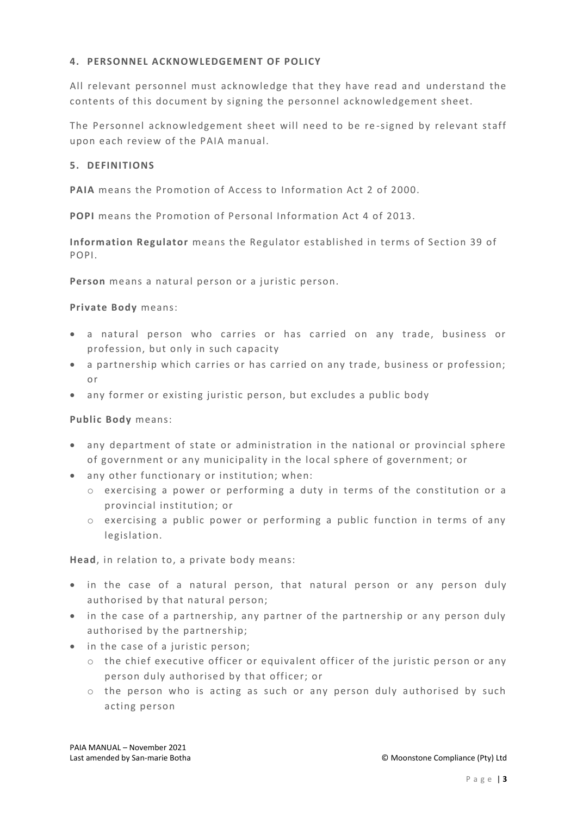### **4. PERSONNEL ACKNOWLEDGEMENT OF POLICY**

All relevant personnel must acknowledge that they have read and understand the contents of this document by signing the personnel acknowledgement sheet.

The Personnel acknowledgement sheet will need to be re -signed by relevant staff upon each review of the PAIA manual.

### **5. DEFINITIONS**

**PAIA** means the Promotion of Access to Information Act 2 of 2000.

**POPI** means the Promotion of Personal Information Act 4 of 2013.

**Information Regulator** means the Regulator established in terms of Section 39 of POPI.

**Person** means a natural person or a juristic person.

### **Private Body** means:

- a natural person who carries or has carried on any trade, business or profession, but only in such capacity
- a partnership which carries or has carried on any trade, business or profession; or
- any former or existing juristic person, but excludes a public body

### **Public Body** means:

- any department of state or administration in the national or provincial sphere of government or any municipality in the local sphere of government; or
- any other functionary or institution; when:
	- o exercising a power or performing a duty in terms of the constitution or a provincial institution; or
	- o exercising a public power or performing a public function in terms of any legislation.

**Head**, in relation to, a private body means:

- in the case of a natural person, that natural person or any person duly authorised by that natural person;
- in the case of a partnership, any partner of the partnership or any person duly authorised by the partnership;
- in the case of a juristic person;
	- o the chief executive officer or equivalent officer of the juristic pe rson or any person duly authorised by that officer; or
	- o the person who is acting as such or any person duly authorised by such acting person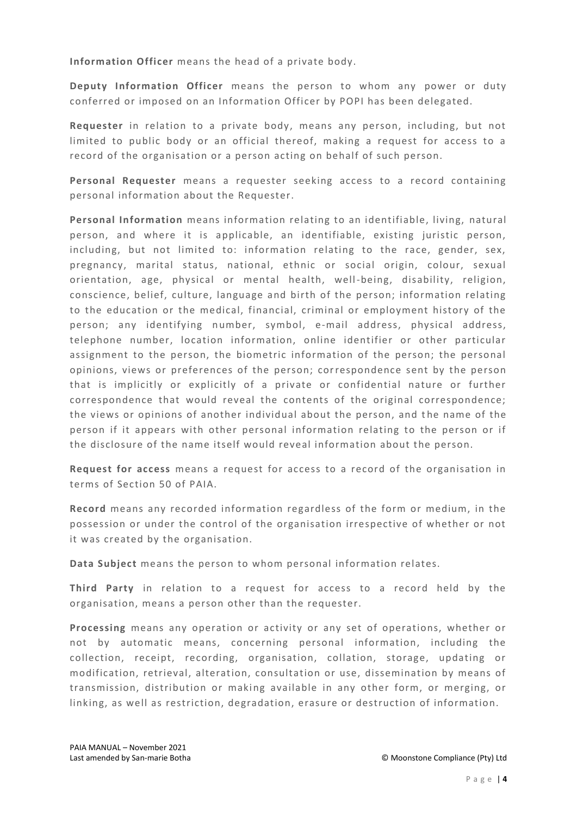**Information Officer** means the head of a private body.

**Deputy Information Officer** means the person to whom any power or duty conferred or imposed on an Information Officer by POPI has been delegated.

**Requester** in relation to a private body, means any person, including, but not limited to public body or an official thereof, making a request for access to a record of the organisation or a person acting on behalf of such person.

**Personal Requester** means a requester seeking access to a record containing personal information about the Requester.

**Personal Information** means information relating to an identifiable, living, natural person, and where it is applicable, an identifiable, existing juristic person, including, but not limited to: information relating to the race, gender, sex, pregnancy, marital status, national, ethnic or social origin, colour, sexual orientation, age, physical or mental health, well-being, disability, religion, conscience, belief, culture, language and birth of the person; information relating to the education or the medical, financial, criminal or employment history of the person; any identifying number, symbol, e-mail address, physical address, telephone number, location information, online identifier or other particular assignment to the person, the biometric information of the person; the personal opinions, views or preferences of the person; correspondence sent by the person that is implicitly or explicitly of a private or confidential nature or further correspondence that would reveal the contents of the original correspondence; the views or opinions of another individual about the person, and the name of the person if it appears with other personal information relating to the person or if the disclosure of the name itself would reveal information about the person.

**Request for access** means a request for access to a record of the organisation in terms of Section 50 of PAIA.

**Record** means any recorded information regardless of the form or medium, in the possession or under the control of the organisation irrespective of whether or not it was created by the organisation.

**Data Subject** means the person to whom personal information relates.

**Third Party** in relation to a request for access to a record held by the organisation, means a person other than the requester.

**Processing** means any operation or activity or any set of operations, whether or not by automatic means, concerning personal information, including the collection, receipt, recording, organisation, collation, storage, updating or modification, retrieval, alteration, consultation or use, dissemination by means of transmission, distribution or making available in any other form, or merging, or linking, as well as restriction, degradation, erasure or destruction of information.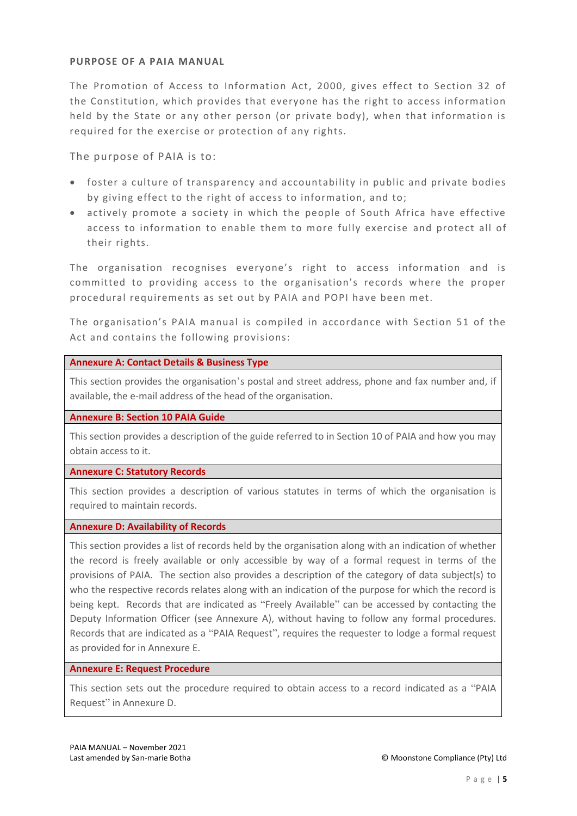### **PURPOSE OF A PAIA MANUAL**

The Promotion of Access to Information Act, 2000, gives effect to Section 32 of the Constitution, which provides that everyone has the right to access information held by the State or any other person (or private body), when that information is required for the exercise or protection of any rights.

The purpose of PAIA is to:

- foster a culture of transparency and accountability in public and private bodies by giving effect to the right of access to information, and to;
- actively promote a society in which the people of South Africa have effective access to information to enable them to more fully exercise and protect all of their rights.

The organisation recognises everyone's right to access information and is committed to providing access to the organisation's records where the proper procedural requirements as set out by PAIA and POPI have been met.

The organisation's PAIA manual is compiled in accordance with Section 51 of the Act and contains the following provisions:

### **Annexure A: Contact Details & Business Type**

This section provides the organisation's postal and street address, phone and fax number and, if available, the e-mail address of the head of the organisation.

### **Annexure B: Section 10 PAIA Guide**

This section provides a description of the guide referred to in Section 10 of PAIA and how you may obtain access to it.

### **Annexure C: Statutory Records**

This section provides a description of various statutes in terms of which the organisation is required to maintain records.

### **Annexure D: Availability of Records**

This section provides a list of records held by the organisation along with an indication of whether the record is freely available or only accessible by way of a formal request in terms of the provisions of PAIA. The section also provides a description of the category of data subject(s) to who the respective records relates along with an indication of the purpose for which the record is being kept. Records that are indicated as "Freely Available" can be accessed by contacting the Deputy Information Officer (see Annexure A), without having to follow any formal procedures. Records that are indicated as a "PAIA Request", requires the requester to lodge a formal request as provided for in Annexure E.

### **Annexure E: Request Procedure**

This section sets out the procedure required to obtain access to a record indicated as a "PAIA Request" in Annexure D.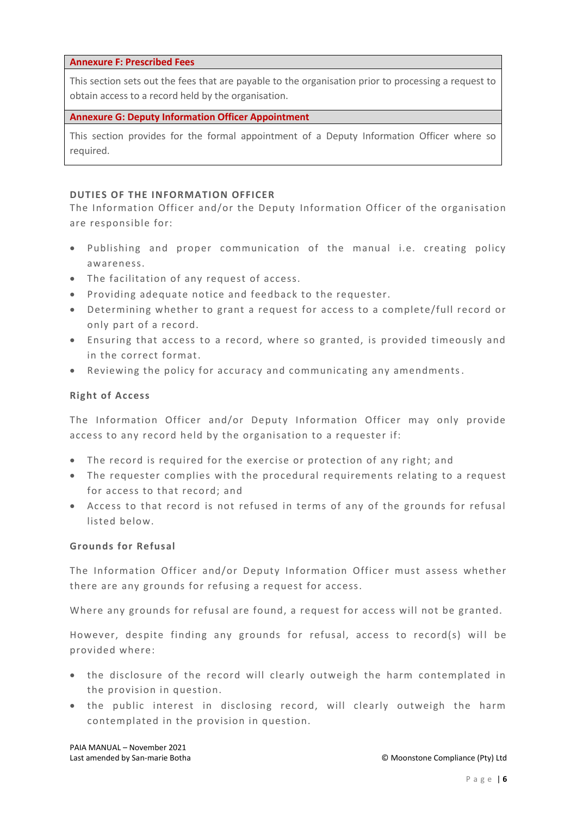#### **Annexure F: Prescribed Fees**

This section sets out the fees that are payable to the organisation prior to processing a request to obtain access to a record held by the organisation.

#### **Annexure G: Deputy Information Officer Appointment**

This section provides for the formal appointment of a Deputy Information Officer where so required.

#### **DUTIES OF THE INFORMATION OFFICER**

The Information Officer and/or the Deputy Information Officer of the organisation are responsible for:

- Publishing and proper communication of the manual i.e. creating policy awareness.
- The facilitation of any request of access.
- Providing adequate notice and feedback to the requester.
- Determining whether to grant a request for access to a complete/full record or only part of a record.
- Ensuring that access to a record, where so granted, is provided timeously and in the correct format.
- Reviewing the policy for accuracy and communicating any amendments.

### **Right of Access**

The Information Officer and/or Deputy Information Officer may only provide access to any record held by the organisation to a requester if:

- The record is required for the exercise or protection of any right; and
- The requester complies with the procedural requirements relating to a request for access to that record; and
- Access to that record is not refused in terms of any of the grounds for refusal listed below.

#### **Grounds for Refusal**

The Information Officer and/or Deputy Information Officer must assess whether there are any grounds for refusing a request for access.

Where any grounds for refusal are found, a request for access will not be granted.

However, despite finding any grounds for refusal, access to record(s) will be provided where:

- the disclosure of the record will clearly outweigh the harm contemplated in the provision in question.
- the public interest in disclosing record, will clearly outweigh the harm contemplated in the provision in question.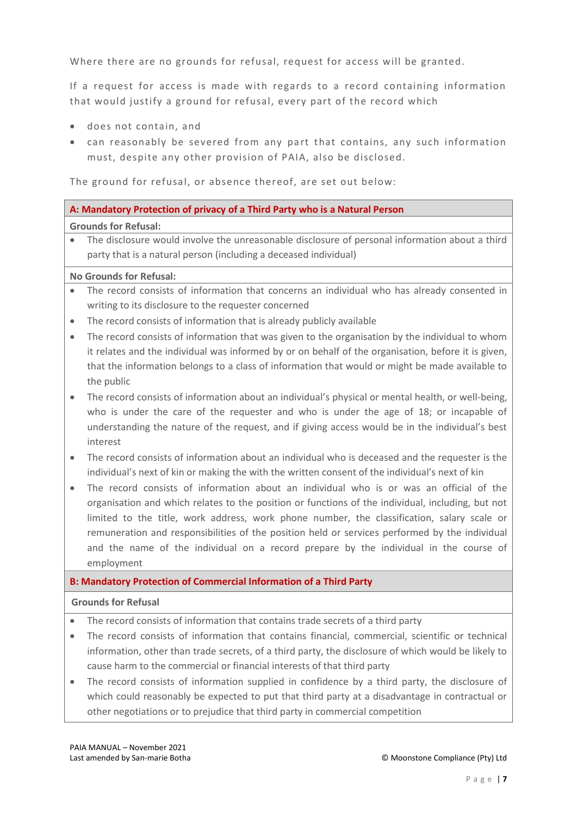Where there are no grounds for refusal, request for access will be granted.

If a request for access is made with regards to a record containing information that would justify a ground for refusal, every part of the record which

- does not contain, and
- can reasonably be severed from any part that contains, any such information must, despite any other provision of PAIA, also be disclosed.

The ground for refusal, or absence thereof, are set out below:

### **A: Mandatory Protection of privacy of a Third Party who is a Natural Person**

#### **Grounds for Refusal:**

 The disclosure would involve the unreasonable disclosure of personal information about a third party that is a natural person (including a deceased individual)

### **No Grounds for Refusal:**

- The record consists of information that concerns an individual who has already consented in writing to its disclosure to the requester concerned
- The record consists of information that is already publicly available
- The record consists of information that was given to the organisation by the individual to whom it relates and the individual was informed by or on behalf of the organisation, before it is given, that the information belongs to a class of information that would or might be made available to the public
- The record consists of information about an individual's physical or mental health, or well-being, who is under the care of the requester and who is under the age of 18; or incapable of understanding the nature of the request, and if giving access would be in the individual's best interest
- The record consists of information about an individual who is deceased and the requester is the individual's next of kin or making the with the written consent of the individual's next of kin
- The record consists of information about an individual who is or was an official of the organisation and which relates to the position or functions of the individual, including, but not limited to the title, work address, work phone number, the classification, salary scale or remuneration and responsibilities of the position held or services performed by the individual and the name of the individual on a record prepare by the individual in the course of employment

### **B: Mandatory Protection of Commercial Information of a Third Party**

### **Grounds for Refusal**

- The record consists of information that contains trade secrets of a third party
- The record consists of information that contains financial, commercial, scientific or technical information, other than trade secrets, of a third party, the disclosure of which would be likely to cause harm to the commercial or financial interests of that third party
- The record consists of information supplied in confidence by a third party, the disclosure of which could reasonably be expected to put that third party at a disadvantage in contractual or other negotiations or to prejudice that third party in commercial competition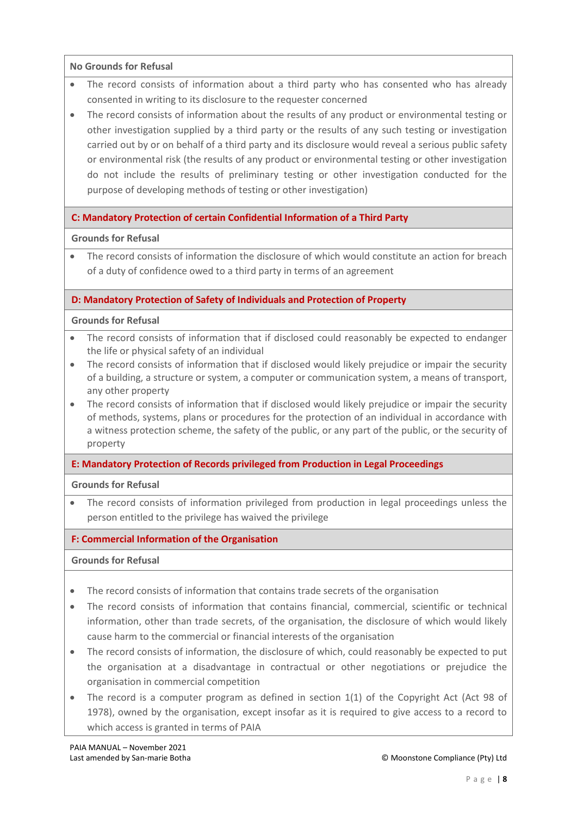### **No Grounds for Refusal**

- The record consists of information about a third party who has consented who has already consented in writing to its disclosure to the requester concerned
- The record consists of information about the results of any product or environmental testing or other investigation supplied by a third party or the results of any such testing or investigation carried out by or on behalf of a third party and its disclosure would reveal a serious public safety or environmental risk (the results of any product or environmental testing or other investigation do not include the results of preliminary testing or other investigation conducted for the purpose of developing methods of testing or other investigation)

### **C: Mandatory Protection of certain Confidential Information of a Third Party**

### **Grounds for Refusal**

 The record consists of information the disclosure of which would constitute an action for breach of a duty of confidence owed to a third party in terms of an agreement

### **D: Mandatory Protection of Safety of Individuals and Protection of Property**

### **Grounds for Refusal**

- The record consists of information that if disclosed could reasonably be expected to endanger the life or physical safety of an individual
- The record consists of information that if disclosed would likely prejudice or impair the security of a building, a structure or system, a computer or communication system, a means of transport, any other property
- The record consists of information that if disclosed would likely prejudice or impair the security of methods, systems, plans or procedures for the protection of an individual in accordance with a witness protection scheme, the safety of the public, or any part of the public, or the security of property

### **E: Mandatory Protection of Records privileged from Production in Legal Proceedings**

### **Grounds for Refusal**

 The record consists of information privileged from production in legal proceedings unless the person entitled to the privilege has waived the privilege

### **F: Commercial Information of the Organisation**

### **Grounds for Refusal**

- The record consists of information that contains trade secrets of the organisation
- The record consists of information that contains financial, commercial, scientific or technical information, other than trade secrets, of the organisation, the disclosure of which would likely cause harm to the commercial or financial interests of the organisation
- The record consists of information, the disclosure of which, could reasonably be expected to put the organisation at a disadvantage in contractual or other negotiations or prejudice the organisation in commercial competition
- The record is a computer program as defined in section 1(1) of the Copyright Act (Act 98 of 1978), owned by the organisation, except insofar as it is required to give access to a record to which access is granted in terms of PAIA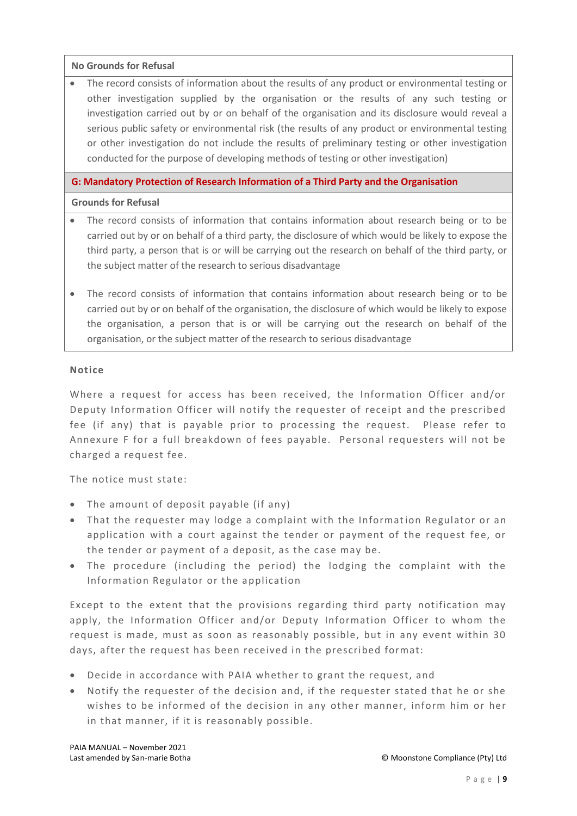### **No Grounds for Refusal**

 The record consists of information about the results of any product or environmental testing or other investigation supplied by the organisation or the results of any such testing or investigation carried out by or on behalf of the organisation and its disclosure would reveal a serious public safety or environmental risk (the results of any product or environmental testing or other investigation do not include the results of preliminary testing or other investigation conducted for the purpose of developing methods of testing or other investigation)

### **G: Mandatory Protection of Research Information of a Third Party and the Organisation**

### **Grounds for Refusal**

- The record consists of information that contains information about research being or to be carried out by or on behalf of a third party, the disclosure of which would be likely to expose the third party, a person that is or will be carrying out the research on behalf of the third party, or the subject matter of the research to serious disadvantage
- The record consists of information that contains information about research being or to be carried out by or on behalf of the organisation, the disclosure of which would be likely to expose the organisation, a person that is or will be carrying out the research on behalf of the organisation, or the subject matter of the research to serious disadvantage

### **Notice**

Where a request for access has been received, the Information Officer and/or Deputy Information Officer will notify the requester of receipt and the prescribed fee (if any) that is payable prior to processing the request. Please refer to Annexure F for a full breakdown of fees payable. Personal requesters will not be charged a request fee.

The notice must state:

- The amount of deposit payable (if any)
- That the requester may lodge a complaint with the Information Regulator or an application with a court against the tender or payment of the request fee, or the tender or payment of a deposit, as the case may be.
- The procedure (including the period) the lodging the complaint with the Information Regulator or the application

Except to the extent that the provisions regarding third party notification may apply, the Information Officer and/or Deputy Information Officer to whom the request is made, must as soon as reasonably possible, but in any event within 30 days, after the request has been received in the prescribed format:

- Decide in accordance with PAIA whether to grant the request, and
- Notify the requester of the decision and, if the requester stated that he or she wishes to be informed of the decision in any other manner, inform him or her in that manner, if it is reasonably possible.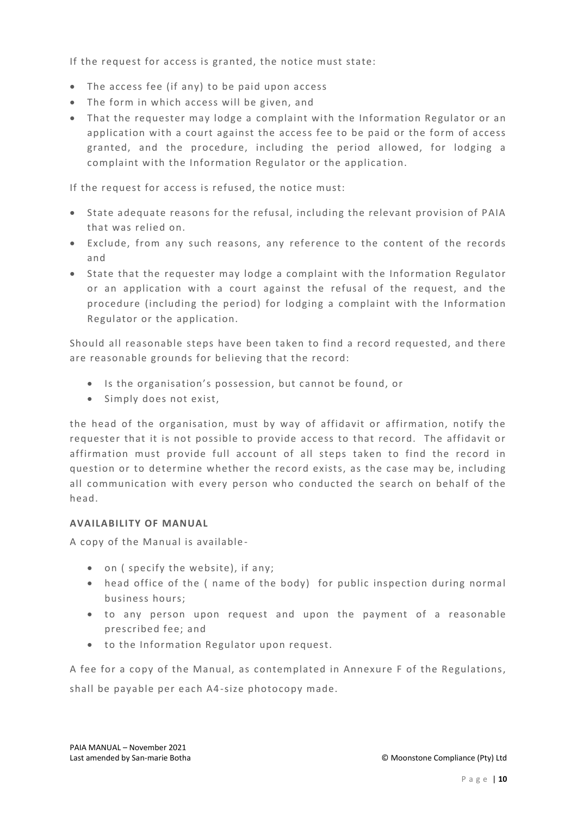If the request for access is granted, the notice must state:

- The access fee (if any) to be paid upon access
- The form in which access will be given, and
- That the requester may lodge a complaint with the Information Regulator or an application with a court against the access fee to be paid or the form of access granted, and the procedure, including the period allowed, for lodging a complaint with the Information Regulator or the applica tion.

If the request for access is refused, the notice must:

- State adequate reasons for the refusal, including the relevant provision of PAIA that was relied on.
- Exclude, from any such reasons, any reference to the content of the records and
- State that the requester may lodge a complaint with the Information Regulator or an application with a court against the refusal of the request, and the procedure (including the period) for lodging a complaint with the Information Regulator or the application.

Should all reasonable steps have been taken to find a record requested, and there are reasonable grounds for believing that the record:

- Is the organisation's possession, but cannot be found, or
- Simply does not exist,

the head of the organisation, must by way of affidavit or affirmation, notify the requester that it is not possible to provide access to that record. The affidavit or affirmation must provide full account of all steps taken to find the record in question or to determine whether the record exists, as the case may be, including all communication with every person who conducted the search on behalf of the head.

### **AVAILABILITY OF MANUAL**

A copy of the Manual is available -

- on ( specify the website), if any;
- head office of the ( name of the body) for public inspection during normal business hours;
- to any person upon request and upon the payment of a reasonable prescribed fee; and
- to the Information Regulator upon request.

A fee for a copy of the Manual, as contemplated in Annexure F of the Regulations, shall be payable per each A4-size photocopy made.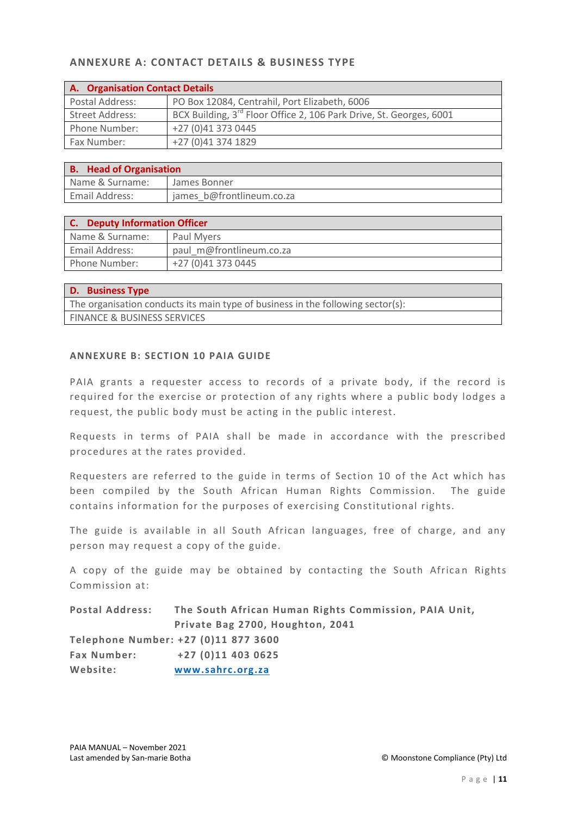# **ANNEXURE A: CONTACT DETAILS & BUSINESS TYPE**

| A. Organisation Contact Details |                                                                                 |  |
|---------------------------------|---------------------------------------------------------------------------------|--|
| Postal Address:                 | PO Box 12084, Centrahil, Port Elizabeth, 6006                                   |  |
| <b>Street Address:</b>          | BCX Building, 3 <sup>rd</sup> Floor Office 2, 106 Park Drive, St. Georges, 6001 |  |
| Phone Number:                   | +27 (0)41 373 0445                                                              |  |
| Fax Number:                     | +27 (0)41 374 1829                                                              |  |

| <b>B.</b> Head of Organisation |                           |  |
|--------------------------------|---------------------------|--|
| Name & Surname:                | James Bonner              |  |
| <b>Email Address:</b>          | james b@frontlineum.co.za |  |

| <b>Deputy Information Officer</b> |                          |  |
|-----------------------------------|--------------------------|--|
| Name & Surname:                   | Paul Myers               |  |
| Email Address:                    | paul m@frontlineum.co.za |  |
| Phone Number:                     | +27 (0)41 373 0445       |  |

| <b>D.</b> Business Type                                                         |
|---------------------------------------------------------------------------------|
| The organisation conducts its main type of business in the following sector(s): |
| <b>FINANCE &amp; BUSINESS SERVICES</b>                                          |

### **ANNEXURE B: SECTION 10 PAIA GUIDE**

PAIA grants a requester access to records of a private body, if the record is required for the exercise or protection of any rights where a public body lodges a request, the public body must be acting in the public interest.

Requests in terms of PAIA shall be made in accordance with the prescribed procedures at the rates provided.

Requesters are referred to the guide in terms of Section 10 of the Act which has been compiled by the South African Human Rights Commission. The guide contains information for the purposes of exercising Constitutional rights.

The guide is available in all South African languages, free of charge, and any person may request a copy of the guide.

A copy of the guide may be obtained by contacting the South African Rights Commission at:

| <b>Postal Address:</b> | The South African Human Rights Commission, PAIA Unit, |
|------------------------|-------------------------------------------------------|
|                        | Private Bag 2700, Houghton, 2041                      |
|                        | Telephone Number: +27 (0)11 877 3600                  |
| <b>Fax Number:</b>     | $+27(0)114030625$                                     |
| Website:               | www.sahrc.org.za                                      |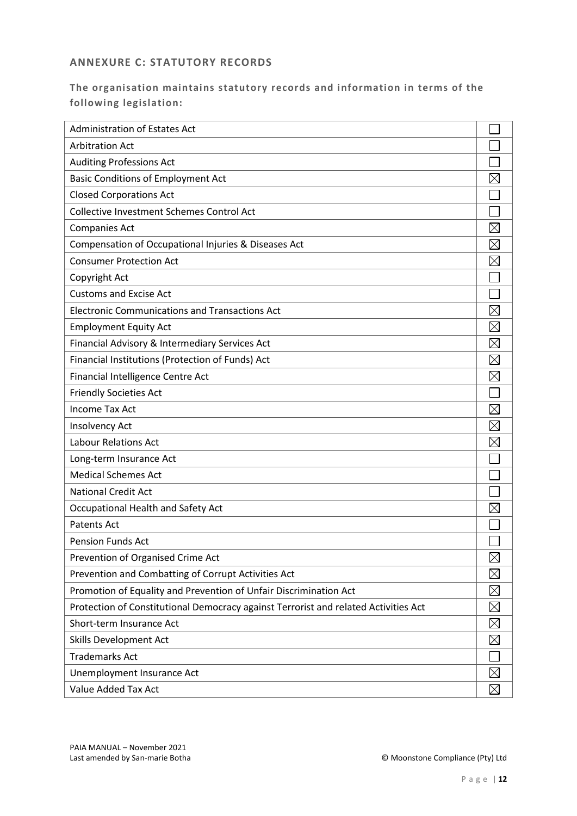# **ANNEXURE C: STATUTORY RECORDS**

# **The organisation maintains statutory records and information in terms of the following legislation:**

| <b>Administration of Estates Act</b>                                                |             |
|-------------------------------------------------------------------------------------|-------------|
| <b>Arbitration Act</b>                                                              |             |
| <b>Auditing Professions Act</b>                                                     |             |
| <b>Basic Conditions of Employment Act</b>                                           | $\boxtimes$ |
| <b>Closed Corporations Act</b>                                                      |             |
| Collective Investment Schemes Control Act                                           |             |
| <b>Companies Act</b>                                                                | $\boxtimes$ |
| Compensation of Occupational Injuries & Diseases Act                                | $\boxtimes$ |
| <b>Consumer Protection Act</b>                                                      | $\boxtimes$ |
| Copyright Act                                                                       |             |
| <b>Customs and Excise Act</b>                                                       |             |
| <b>Electronic Communications and Transactions Act</b>                               | $\boxtimes$ |
| <b>Employment Equity Act</b>                                                        | $\boxtimes$ |
| Financial Advisory & Intermediary Services Act                                      | $\boxtimes$ |
| Financial Institutions (Protection of Funds) Act                                    | $\boxtimes$ |
| Financial Intelligence Centre Act                                                   | $\boxtimes$ |
| <b>Friendly Societies Act</b>                                                       |             |
| <b>Income Tax Act</b>                                                               | $\boxtimes$ |
| Insolvency Act                                                                      | $\boxtimes$ |
| <b>Labour Relations Act</b>                                                         | $\boxtimes$ |
| Long-term Insurance Act                                                             |             |
| <b>Medical Schemes Act</b>                                                          |             |
| <b>National Credit Act</b>                                                          |             |
| Occupational Health and Safety Act                                                  | $\boxtimes$ |
| <b>Patents Act</b>                                                                  |             |
| <b>Pension Funds Act</b>                                                            |             |
| Prevention of Organised Crime Act                                                   | $\boxtimes$ |
| Prevention and Combatting of Corrupt Activities Act                                 | $\boxtimes$ |
| Promotion of Equality and Prevention of Unfair Discrimination Act                   | $\boxtimes$ |
| Protection of Constitutional Democracy against Terrorist and related Activities Act | $\boxtimes$ |
| Short-term Insurance Act                                                            | $\boxtimes$ |
| Skills Development Act                                                              | $\boxtimes$ |
| <b>Trademarks Act</b>                                                               |             |
| Unemployment Insurance Act                                                          | $\boxtimes$ |
| Value Added Tax Act                                                                 | $\boxtimes$ |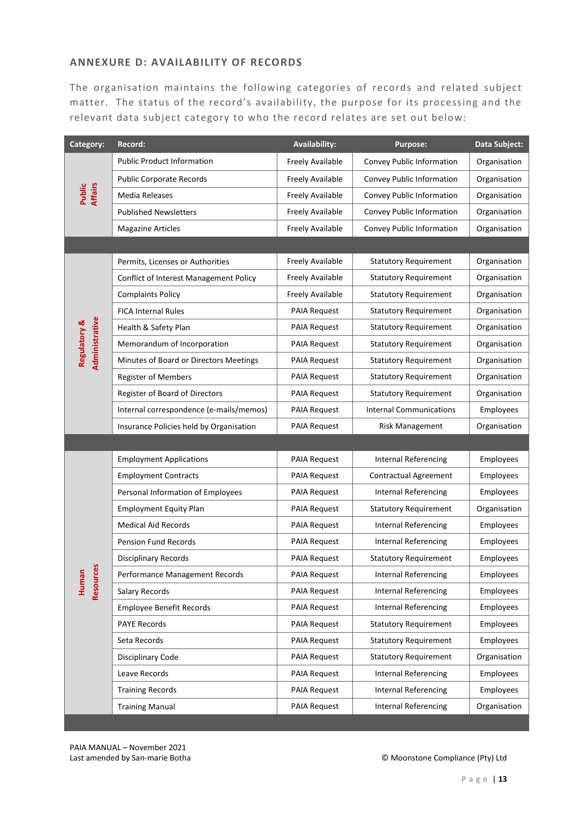# **ANNEXURE D: AVAILABILITY OF RECORDS**

The organisation maintains the following categories of records and related subject matter. The status of the record's availability, the purpose for its processing and the relevant data subject category to who the record relates are set out below:

| Category:                                 | Record:                                 | <b>Availability:</b> | <b>Purpose:</b>                | Data Subject: |
|-------------------------------------------|-----------------------------------------|----------------------|--------------------------------|---------------|
|                                           | <b>Public Product Information</b>       | Freely Available     | Convey Public Information      | Organisation  |
|                                           | <b>Public Corporate Records</b>         | Freely Available     | Convey Public Information      | Organisation  |
| <b>Affairs</b><br>Public                  | Media Releases                          | Freely Available     | Convey Public Information      | Organisation  |
|                                           | <b>Published Newsletters</b>            | Freely Available     | Convey Public Information      | Organisation  |
|                                           | <b>Magazine Articles</b>                | Freely Available     | Convey Public Information      | Organisation  |
|                                           |                                         |                      |                                |               |
|                                           | Permits, Licenses or Authorities        | Freely Available     | <b>Statutory Requirement</b>   | Organisation  |
|                                           | Conflict of Interest Management Policy  | Freely Available     | <b>Statutory Requirement</b>   | Organisation  |
|                                           | <b>Complaints Policy</b>                | Freely Available     | <b>Statutory Requirement</b>   | Organisation  |
|                                           | <b>FICA Internal Rules</b>              | <b>PAIA Request</b>  | <b>Statutory Requirement</b>   | Organisation  |
| Administrative<br><b>Regulatory &amp;</b> | Health & Safety Plan                    | <b>PAIA Request</b>  | <b>Statutory Requirement</b>   | Organisation  |
|                                           | Memorandum of Incorporation             | <b>PAIA Request</b>  | <b>Statutory Requirement</b>   | Organisation  |
|                                           | Minutes of Board or Directors Meetings  | <b>PAIA Request</b>  | <b>Statutory Requirement</b>   | Organisation  |
|                                           | Register of Members                     | <b>PAIA Request</b>  | <b>Statutory Requirement</b>   | Organisation  |
|                                           | Register of Board of Directors          | <b>PAIA Request</b>  | <b>Statutory Requirement</b>   | Organisation  |
|                                           | Internal correspondence (e-mails/memos) | <b>PAIA Request</b>  | <b>Internal Communications</b> | Employees     |
|                                           | Insurance Policies held by Organisation | <b>PAIA Request</b>  | <b>Risk Management</b>         | Organisation  |
|                                           |                                         |                      |                                |               |
|                                           | <b>Employment Applications</b>          | PAIA Request         | <b>Internal Referencing</b>    | Employees     |
|                                           | <b>Employment Contracts</b>             | <b>PAIA Request</b>  | <b>Contractual Agreement</b>   | Employees     |
|                                           | Personal Information of Employees       | <b>PAIA Request</b>  | <b>Internal Referencing</b>    | Employees     |
|                                           | <b>Employment Equity Plan</b>           | <b>PAIA Request</b>  | <b>Statutory Requirement</b>   | Organisation  |
|                                           | <b>Medical Aid Records</b>              | <b>PAIA Request</b>  | <b>Internal Referencing</b>    | Employees     |
|                                           | <b>Pension Fund Records</b>             | <b>PAIA Request</b>  | <b>Internal Referencing</b>    | Employees     |
| <b>SV</b>                                 | <b>Disciplinary Records</b>             | <b>PAIA Request</b>  | <b>Statutory Requirement</b>   | Employees     |
| Resource<br>Human                         | Performance Management Records          | <b>PAIA Request</b>  | <b>Internal Referencing</b>    | Employees     |
|                                           | Salary Records                          | <b>PAIA Request</b>  | <b>Internal Referencing</b>    | Employees     |
|                                           | <b>Employee Benefit Records</b>         | <b>PAIA Request</b>  | <b>Internal Referencing</b>    | Employees     |
|                                           | <b>PAYE Records</b>                     | <b>PAIA Request</b>  | <b>Statutory Requirement</b>   | Employees     |
|                                           | Seta Records                            | <b>PAIA Request</b>  | <b>Statutory Requirement</b>   | Employees     |
|                                           | Disciplinary Code                       | <b>PAIA Request</b>  | <b>Statutory Requirement</b>   | Organisation  |
|                                           | Leave Records                           | <b>PAIA Request</b>  | <b>Internal Referencing</b>    | Employees     |
|                                           | <b>Training Records</b>                 | PAIA Request         | Internal Referencing           | Employees     |
|                                           | <b>Training Manual</b>                  | PAIA Request         | <b>Internal Referencing</b>    | Organisation  |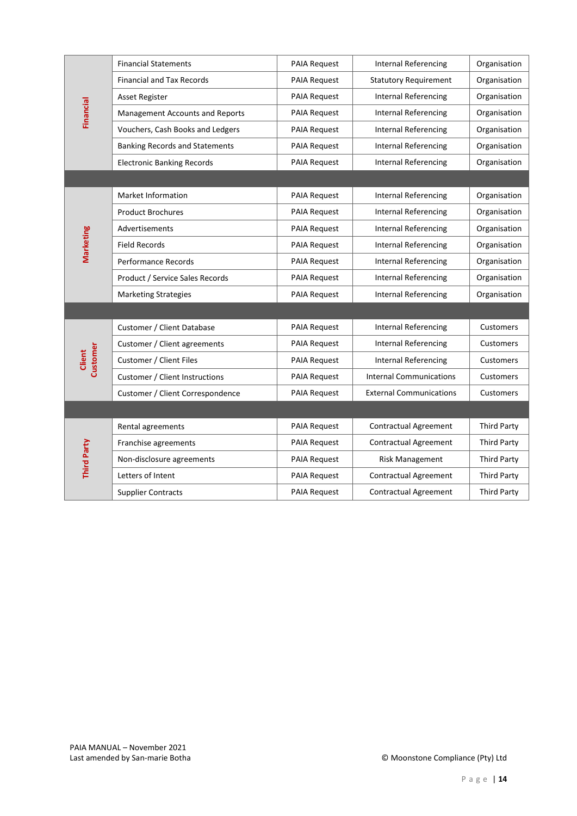| <b>Financial</b>   | <b>Financial Statements</b>           | PAIA Request        | <b>Internal Referencing</b>    | Organisation       |
|--------------------|---------------------------------------|---------------------|--------------------------------|--------------------|
|                    | <b>Financial and Tax Records</b>      | <b>PAIA Request</b> | <b>Statutory Requirement</b>   | Organisation       |
|                    | <b>Asset Register</b>                 | <b>PAIA Request</b> | <b>Internal Referencing</b>    | Organisation       |
|                    | Management Accounts and Reports       | <b>PAIA Request</b> | <b>Internal Referencing</b>    | Organisation       |
|                    | Vouchers, Cash Books and Ledgers      | <b>PAIA Request</b> | <b>Internal Referencing</b>    | Organisation       |
|                    | <b>Banking Records and Statements</b> | <b>PAIA Request</b> | <b>Internal Referencing</b>    | Organisation       |
|                    | <b>Electronic Banking Records</b>     | <b>PAIA Request</b> | <b>Internal Referencing</b>    | Organisation       |
|                    |                                       |                     |                                |                    |
|                    | Market Information                    | PAIA Request        | <b>Internal Referencing</b>    | Organisation       |
|                    | <b>Product Brochures</b>              | PAIA Request        | <b>Internal Referencing</b>    | Organisation       |
|                    | Advertisements                        | <b>PAIA Request</b> | <b>Internal Referencing</b>    | Organisation       |
| Marketing          | <b>Field Records</b>                  | <b>PAIA Request</b> | <b>Internal Referencing</b>    | Organisation       |
|                    | Performance Records                   | <b>PAIA Request</b> | <b>Internal Referencing</b>    | Organisation       |
|                    | Product / Service Sales Records       | <b>PAIA Request</b> | <b>Internal Referencing</b>    | Organisation       |
|                    | <b>Marketing Strategies</b>           | <b>PAIA Request</b> | <b>Internal Referencing</b>    | Organisation       |
|                    |                                       |                     |                                |                    |
|                    | Customer / Client Database            | PAIA Request        | <b>Internal Referencing</b>    | Customers          |
|                    | Customer / Client agreements          | PAIA Request        | <b>Internal Referencing</b>    | Customers          |
| Customer<br>Client | Customer / Client Files               | <b>PAIA Request</b> | <b>Internal Referencing</b>    | Customers          |
|                    | Customer / Client Instructions        | <b>PAIA Request</b> | <b>Internal Communications</b> | Customers          |
|                    | Customer / Client Correspondence      | <b>PAIA Request</b> | <b>External Communications</b> | Customers          |
|                    |                                       |                     |                                |                    |
|                    | Rental agreements                     | PAIA Request        | <b>Contractual Agreement</b>   | <b>Third Party</b> |
|                    | Franchise agreements                  | <b>PAIA Request</b> | <b>Contractual Agreement</b>   | <b>Third Party</b> |
| Third Party        | Non-disclosure agreements             | PAIA Request        | <b>Risk Management</b>         | <b>Third Party</b> |
|                    | Letters of Intent                     | <b>PAIA Request</b> | Contractual Agreement          | <b>Third Party</b> |
|                    | <b>Supplier Contracts</b>             | <b>PAIA Request</b> | Contractual Agreement          | <b>Third Party</b> |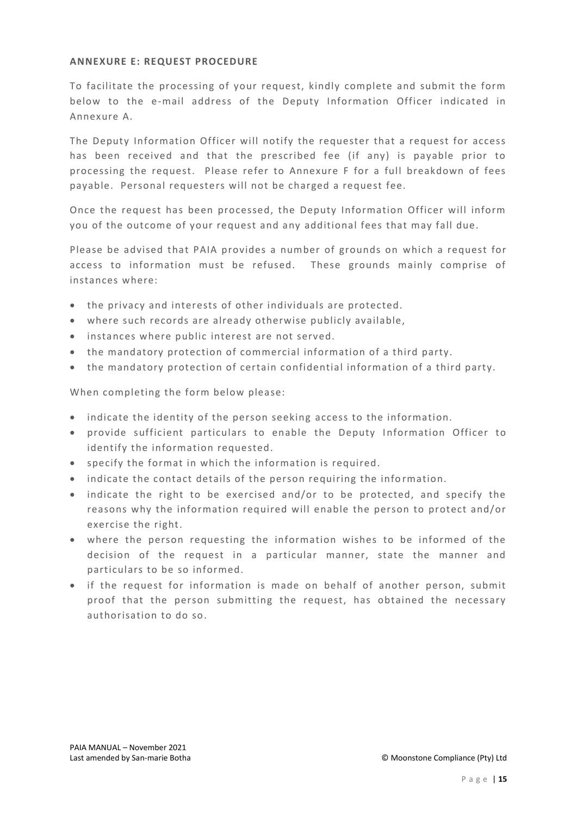### **ANNEXURE E: REQUEST PROCEDURE**

To facilitate the processing of your request, kindly complete and submit the form below to the e-mail address of the Deputy Information Officer indicated in Annexure A.

The Deputy Information Officer will notify the requester that a request for access has been received and that the prescribed fee (if any) is payable prior to processing the request. Please refer to Annexure F for a full breakdown of fees payable. Personal requesters will not be charged a request fee.

Once the request has been processed, the Deputy Information Officer will inform you of the outcome of your request and any additional fees that may fall due.

Please be advised that PAIA provides a number of grounds on which a request for access to information must be refused. These grounds mainly comprise of instances where:

- the privacy and interests of other individuals are protected.
- where such records are already otherwise publicly available,
- instances where public interest are not served.
- the mandatory protection of commercial information of a third party.
- the mandatory protection of certain confidential information of a third party.

When completing the form below please:

- indicate the identity of the person seeking access to the information.
- provide sufficient particulars to enable the Deputy I nformation Officer to identify the information requested.
- specify the format in which the information is required.
- indicate the contact details of the person requiring the information.
- indicate the right to be exercised and/or to be protected, and specify the reasons why the information required will enable the person to protect and/or exercise the right.
- where the person requesting the information wishes to be informed of the decision of the request in a particular manner, state the manner and particulars to be so informed.
- if the request for information is made on behalf of another person, submit proof that the person submitting the request, has obtained the necessary authorisation to do so.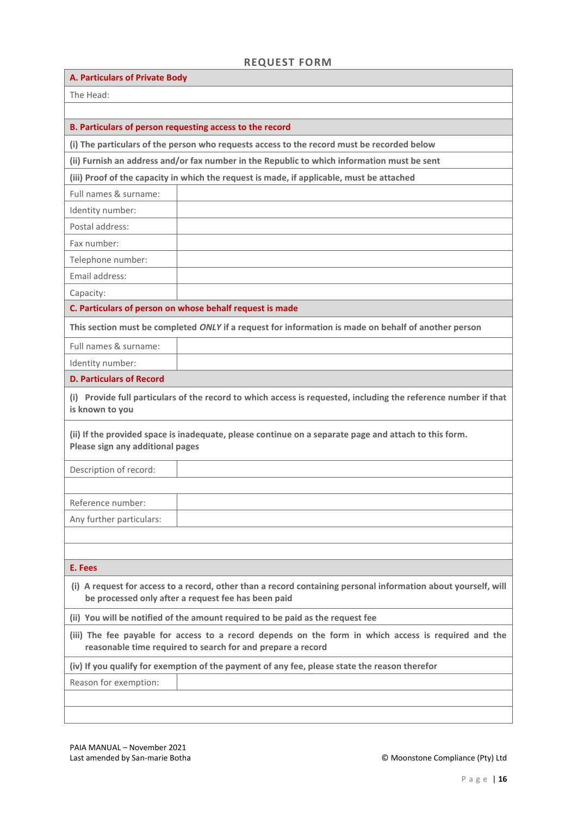# **REQUEST FORM**

| <b>A. Particulars of Private Body</b>                                                                                                                                 |                                                                                                                 |  |  |
|-----------------------------------------------------------------------------------------------------------------------------------------------------------------------|-----------------------------------------------------------------------------------------------------------------|--|--|
| The Head:                                                                                                                                                             |                                                                                                                 |  |  |
|                                                                                                                                                                       |                                                                                                                 |  |  |
|                                                                                                                                                                       | B. Particulars of person requesting access to the record                                                        |  |  |
|                                                                                                                                                                       | (i) The particulars of the person who requests access to the record must be recorded below                      |  |  |
|                                                                                                                                                                       | (ii) Furnish an address and/or fax number in the Republic to which information must be sent                     |  |  |
|                                                                                                                                                                       | (iii) Proof of the capacity in which the request is made, if applicable, must be attached                       |  |  |
| Full names & surname:                                                                                                                                                 |                                                                                                                 |  |  |
| Identity number:                                                                                                                                                      |                                                                                                                 |  |  |
| Postal address:                                                                                                                                                       |                                                                                                                 |  |  |
| Fax number:                                                                                                                                                           |                                                                                                                 |  |  |
| Telephone number:                                                                                                                                                     |                                                                                                                 |  |  |
| Email address:                                                                                                                                                        |                                                                                                                 |  |  |
| Capacity:                                                                                                                                                             |                                                                                                                 |  |  |
|                                                                                                                                                                       | C. Particulars of person on whose behalf request is made                                                        |  |  |
|                                                                                                                                                                       | This section must be completed ONLY if a request for information is made on behalf of another person            |  |  |
| Full names & surname:                                                                                                                                                 |                                                                                                                 |  |  |
| Identity number:                                                                                                                                                      |                                                                                                                 |  |  |
| <b>D. Particulars of Record</b>                                                                                                                                       |                                                                                                                 |  |  |
| is known to you                                                                                                                                                       | (i) Provide full particulars of the record to which access is requested, including the reference number if that |  |  |
| Please sign any additional pages                                                                                                                                      | (ii) If the provided space is inadequate, please continue on a separate page and attach to this form.           |  |  |
| Description of record:                                                                                                                                                |                                                                                                                 |  |  |
|                                                                                                                                                                       |                                                                                                                 |  |  |
| Reference number:                                                                                                                                                     |                                                                                                                 |  |  |
| Any further particulars:                                                                                                                                              |                                                                                                                 |  |  |
|                                                                                                                                                                       |                                                                                                                 |  |  |
|                                                                                                                                                                       |                                                                                                                 |  |  |
| E. Fees                                                                                                                                                               |                                                                                                                 |  |  |
| (i) A request for access to a record, other than a record containing personal information about yourself, will<br>be processed only after a request fee has been paid |                                                                                                                 |  |  |
| (ii) You will be notified of the amount required to be paid as the request fee                                                                                        |                                                                                                                 |  |  |
| (iii) The fee payable for access to a record depends on the form in which access is required and the<br>reasonable time required to search for and prepare a record   |                                                                                                                 |  |  |
| (iv) If you qualify for exemption of the payment of any fee, please state the reason therefor                                                                         |                                                                                                                 |  |  |
| Reason for exemption:                                                                                                                                                 |                                                                                                                 |  |  |
|                                                                                                                                                                       |                                                                                                                 |  |  |
|                                                                                                                                                                       |                                                                                                                 |  |  |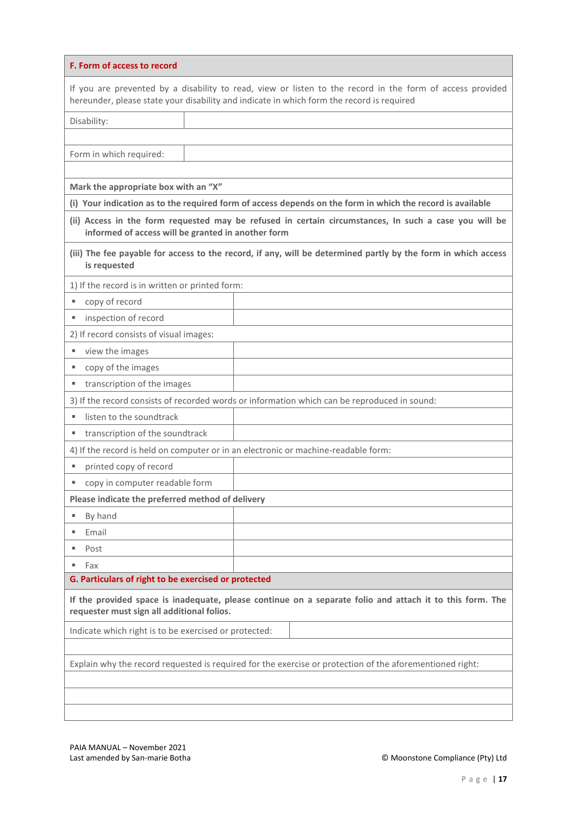| F. Form of access to record                                                                                                                                                                            |                                                                                                               |  |  |
|--------------------------------------------------------------------------------------------------------------------------------------------------------------------------------------------------------|---------------------------------------------------------------------------------------------------------------|--|--|
| If you are prevented by a disability to read, view or listen to the record in the form of access provided<br>hereunder, please state your disability and indicate in which form the record is required |                                                                                                               |  |  |
| Disability:                                                                                                                                                                                            |                                                                                                               |  |  |
|                                                                                                                                                                                                        |                                                                                                               |  |  |
| Form in which required:                                                                                                                                                                                |                                                                                                               |  |  |
|                                                                                                                                                                                                        |                                                                                                               |  |  |
| Mark the appropriate box with an "X"                                                                                                                                                                   |                                                                                                               |  |  |
|                                                                                                                                                                                                        | (i) Your indication as to the required form of access depends on the form in which the record is available    |  |  |
| informed of access will be granted in another form                                                                                                                                                     | (ii) Access in the form requested may be refused in certain circumstances, In such a case you will be         |  |  |
| is requested                                                                                                                                                                                           | (iii) The fee payable for access to the record, if any, will be determined partly by the form in which access |  |  |
| 1) If the record is in written or printed form:                                                                                                                                                        |                                                                                                               |  |  |
| copy of record<br>ш                                                                                                                                                                                    |                                                                                                               |  |  |
| inspection of record                                                                                                                                                                                   |                                                                                                               |  |  |
| 2) If record consists of visual images:                                                                                                                                                                |                                                                                                               |  |  |
| view the images<br>ш                                                                                                                                                                                   |                                                                                                               |  |  |
| copy of the images<br>ш                                                                                                                                                                                |                                                                                                               |  |  |
| transcription of the images<br>ш                                                                                                                                                                       |                                                                                                               |  |  |
|                                                                                                                                                                                                        | 3) If the record consists of recorded words or information which can be reproduced in sound:                  |  |  |
| listen to the soundtrack                                                                                                                                                                               |                                                                                                               |  |  |
| transcription of the soundtrack                                                                                                                                                                        |                                                                                                               |  |  |
| 4) If the record is held on computer or in an electronic or machine-readable form:                                                                                                                     |                                                                                                               |  |  |
| printed copy of record<br>ш                                                                                                                                                                            |                                                                                                               |  |  |
| copy in computer readable form<br>ш                                                                                                                                                                    |                                                                                                               |  |  |
| Please indicate the preferred method of delivery                                                                                                                                                       |                                                                                                               |  |  |
| By hand                                                                                                                                                                                                |                                                                                                               |  |  |
| Email                                                                                                                                                                                                  |                                                                                                               |  |  |
| Post<br>ш                                                                                                                                                                                              |                                                                                                               |  |  |
| Fax<br>ш                                                                                                                                                                                               |                                                                                                               |  |  |
| G. Particulars of right to be exercised or protected                                                                                                                                                   |                                                                                                               |  |  |
| If the provided space is inadequate, please continue on a separate folio and attach it to this form. The<br>requester must sign all additional folios.                                                 |                                                                                                               |  |  |
| Indicate which right is to be exercised or protected:                                                                                                                                                  |                                                                                                               |  |  |
|                                                                                                                                                                                                        |                                                                                                               |  |  |
| Explain why the record requested is required for the exercise or protection of the aforementioned right:                                                                                               |                                                                                                               |  |  |
|                                                                                                                                                                                                        |                                                                                                               |  |  |
|                                                                                                                                                                                                        |                                                                                                               |  |  |
|                                                                                                                                                                                                        |                                                                                                               |  |  |

PAIA MANUAL – November 2021<br>Last amended by San-marie Botha

© Moonstone Compliance (Pty) Ltd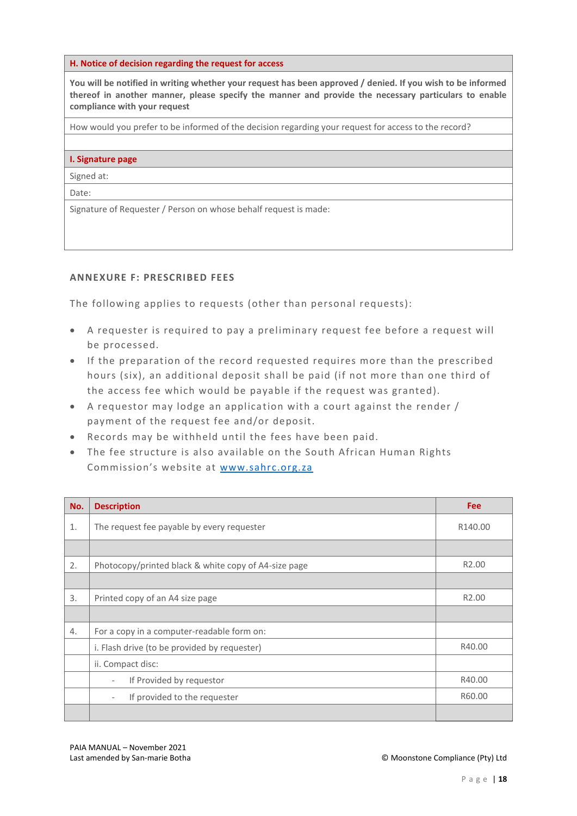#### **H. Notice of decision regarding the request for access**

**You will be notified in writing whether your request has been approved / denied. If you wish to be informed thereof in another manner, please specify the manner and provide the necessary particulars to enable compliance with your request**

How would you prefer to be informed of the decision regarding your request for access to the record?

#### **I. Signature page**

Signed at:

Date:

Signature of Requester / Person on whose behalf request is made:

### **ANNEXURE F: PRESCRIBED FEES**

The following applies to requests (other than personal requests):

- A requester is required to pay a preliminary request fee before a request will be processed.
- If the preparation of the record requested requires more than the prescribed hours (six), an additional deposit shall be paid (if not more than one third of the access fee which would be payable if the request was granted).
- A requestor may lodge an application with a court against the render / payment of the request fee and/or deposit.
- Records may be withheld until the fees have been paid.
- The fee structure is also available on the South African Human Rights Commission's website at [www.sahrc.org.za](http://www.sahrc.org.za/)

| No. | <b>Description</b>                                       | <b>Fee</b>        |
|-----|----------------------------------------------------------|-------------------|
| 1.  | The request fee payable by every requester               | R140.00           |
|     |                                                          |                   |
| 2.  | Photocopy/printed black & white copy of A4-size page     | R <sub>2.00</sub> |
|     |                                                          |                   |
| 3.  | Printed copy of an A4 size page                          | R <sub>2.00</sub> |
|     |                                                          |                   |
| 4.  | For a copy in a computer-readable form on:               |                   |
|     | i. Flash drive (to be provided by requester)             | R40.00            |
|     | ii. Compact disc:                                        |                   |
|     | If Provided by requestor<br>$\overline{\phantom{a}}$     | R40.00            |
|     | If provided to the requester<br>$\overline{\phantom{a}}$ | R60.00            |
|     |                                                          |                   |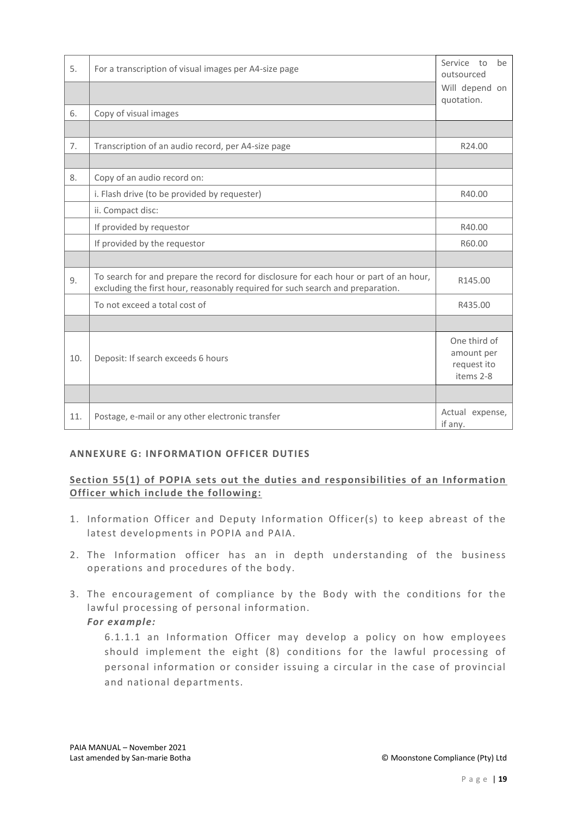| 5.  | For a transcription of visual images per A4-size page                                                                                                                   | Service to<br>be<br>outsourced<br>Will depend on<br>quotation. |
|-----|-------------------------------------------------------------------------------------------------------------------------------------------------------------------------|----------------------------------------------------------------|
| 6.  | Copy of visual images                                                                                                                                                   |                                                                |
|     |                                                                                                                                                                         |                                                                |
| 7.  | Transcription of an audio record, per A4-size page                                                                                                                      | R24.00                                                         |
|     |                                                                                                                                                                         |                                                                |
| 8.  | Copy of an audio record on:                                                                                                                                             |                                                                |
|     | i. Flash drive (to be provided by requester)                                                                                                                            | R40.00                                                         |
|     | ii. Compact disc:                                                                                                                                                       |                                                                |
|     | If provided by requestor                                                                                                                                                | R40.00                                                         |
|     | If provided by the requestor                                                                                                                                            | R60.00                                                         |
|     |                                                                                                                                                                         |                                                                |
| 9.  | To search for and prepare the record for disclosure for each hour or part of an hour,<br>excluding the first hour, reasonably required for such search and preparation. | R145.00                                                        |
|     | To not exceed a total cost of                                                                                                                                           | R435.00                                                        |
|     |                                                                                                                                                                         |                                                                |
| 10. | Deposit: If search exceeds 6 hours                                                                                                                                      | One third of<br>amount per<br>request ito<br>items 2-8         |
|     |                                                                                                                                                                         |                                                                |
| 11. | Postage, e-mail or any other electronic transfer                                                                                                                        | Actual expense,<br>if any.                                     |

### **ANNEXURE G: INFORMATION OFFICER DUTIES**

### **Section 55(1) of POPIA sets out the duties and responsibilities of an Information Officer which include the following:**

- 1. Information Officer and Deputy Information Officer(s) to keep abreast of the latest developments in POPIA and PAIA.
- 2. The Information officer has an in depth understanding of the business operations and procedures of the body.
- 3. The encouragement of compliance by the Body with the conditions for the lawful processing of personal information.

### *For example:*

6.1.1.1 an Information Officer may develop a policy on how employees should implement the eight (8) conditions for the lawful processing of personal information or consider issuing a circular in the case of provincial and national departments.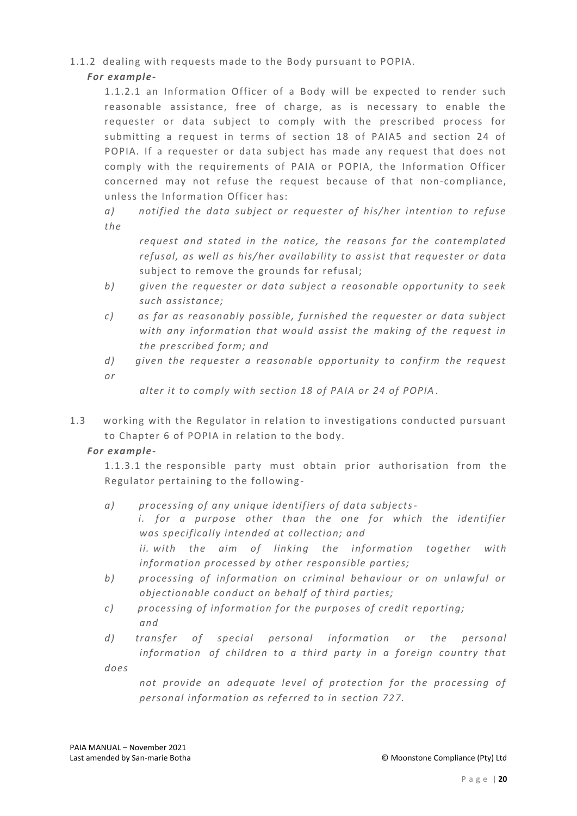### 1.1.2 dealing with requests made to the Body pursuant to POPIA.

# *For example-*

1.1.2.1 an Information Officer of a Body will be expected to render such reasonable assistance, free of charge, as is necessary to enable the requester or data subject to comply with the prescribed process for submitting a request in terms of section 18 of PAIA5 and section 24 of POPIA. If a requester or data subject has made any request that does not comply with the requirements of PAIA or POPIA, the Information Officer concerned may not refuse the request because of that non-compliance, unless the Information Officer has:

*a) notified the data subject or requester of his/her intention to refuse the* 

*request and stated in the notice, the reasons for the contemplated refusal, as well as his/her availability to assist that requester or data*  subject to remove the grounds for refusal;

- *b) given the requester or data subject a reasonable opportunity to seek such assistance;*
- *c) as far as reasonably possible, furnished the requester or data subject with any information that would assist the making of the request in the prescribed form; and*
- *d) given the requester a reasonable opportunity to confirm the request or*

*alter it to comply with section 18 of PAIA or 24 of POPIA* .

1.3 working with the Regulator in relation to investigations conducted pursuant to Chapter 6 of POPIA in relation to the body.

# *For example-*

1.1.3.1 the responsible party must obtain prior authorisation from the Regulator pertaining to the following -

- *a) processing of any unique identifiers of data subjectsi. for a purpose other than the one for which the identifier was specifically intended at collection; and ii. with the aim of linking the information together with information processed by other responsible parties;*
- *b) processing of information on criminal behaviour or on unlawful or objectionable conduct on behalf of third parties;*
- *c) processing of information for the purposes of credit reporting; and*
- *d) transfer of special personal information or the personal information of children to a third party in a foreign country that does*

*not provide an adequate level of protection for the processing of personal information as referred to in section 727.*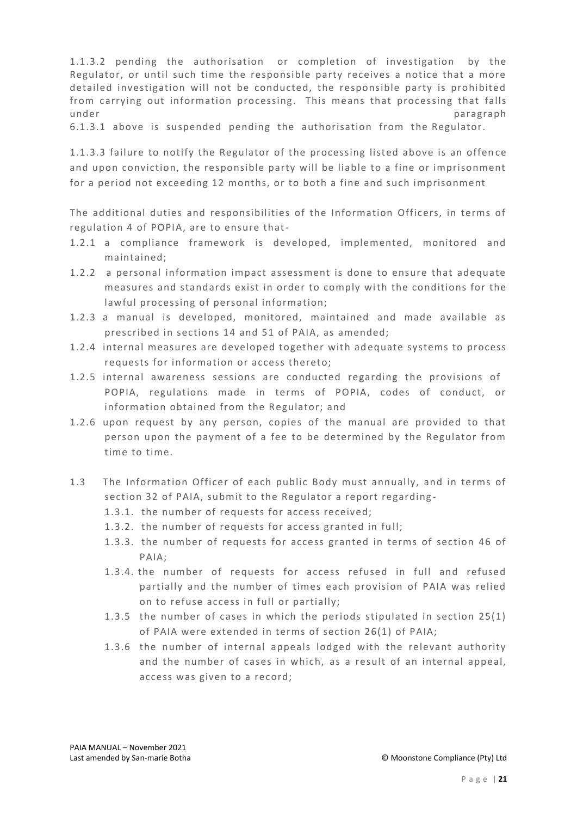1.1.3.2 pending the authorisation or completion of investigation by the Regulator, or until such time the responsible party receives a notice that a more detailed investigation will not be conducted, the responsible party is prohibited from carrying out information processing. This means that processing that falls under paragraph and the paragraph of the paragraph of the paragraph of the paragraph of the paragraph of the paragraph of the paragraph of the paragraph of the paragraph of the paragraph of the paragraph of the paragraph o

6.1.3.1 above is suspended pending the authorisation from the Regulator.

1.1.3.3 failure to notify the Regulator of the processing listed above is an offen ce and upon conviction, the responsible party will be liable to a fine or imprisonment for a period not exceeding 12 months, or to both a fine and such imprisonment

The additional duties and responsibilities of the Information Officers, in terms of regulation 4 of POPIA, are to ensure that-

- 1.2.1 a compliance framework is developed, implemented, monitored and maintained;
- 1.2.2 a personal information impact assessment is done to ensure that adequate measures and standards exist in order to comply with the conditions for the lawful processing of personal information;
- 1.2.3 a manual is developed, monitored, maintained and made available as prescribed in sections 14 and 51 of PAIA, as amended;
- 1.2.4 internal measures are developed together with adequate systems to process requests for information or access thereto;
- 1.2.5 internal awareness sessions are conducted regarding the provisions of POPIA, regulations made in terms of POPIA, codes of conduct, or information obtained from the Regulator; and
- 1.2.6 upon request by any person, copies of the manual are provided to that person upon the payment of a fee to be determined by the Regulator from time to time.
- 1.3 The Information Officer of each public Body must annually, and in terms of section 32 of PAIA, submit to the Regulator a report regarding -
	- 1.3.1. the number of requests for access received;
	- 1.3.2. the number of requests for access granted in full;
	- 1.3.3. the number of requests for access granted in terms of section 46 of PAIA;
	- 1.3.4. the number of requests for access refused in full and refused partially and the number of times each provision of PAIA was relied on to refuse access in full or partially;
	- 1.3.5 the number of cases in which the periods stipulated in section 25(1) of PAIA were extended in terms of section 26(1) of PAIA;
	- 1.3.6 the number of internal appeals lodged with the relevant authority and the number of cases in which, as a result of an internal appeal, access was given to a record;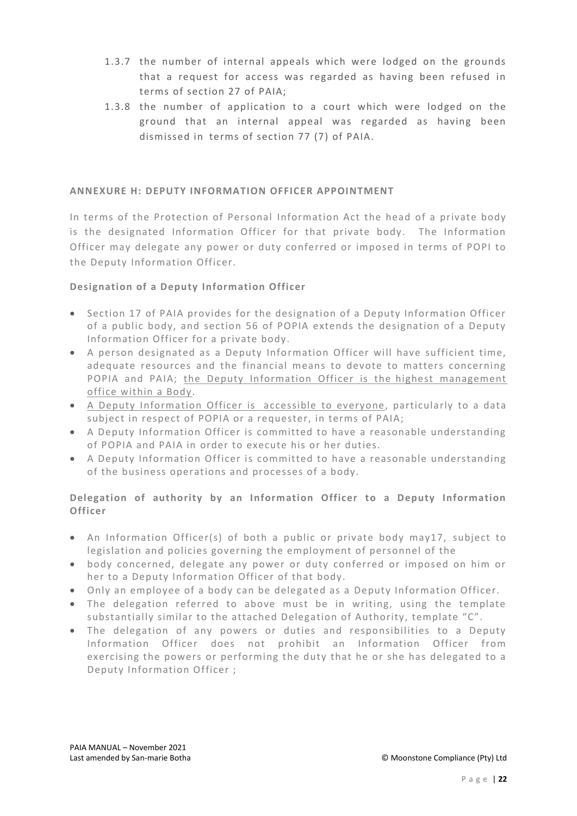- 1.3.7 the number of internal appeals which were lodged on the grounds that a request for access was regarded as having been refused in terms of section 27 of PAIA;
- 1.3.8 the number of application to a court which were lodged on the ground that an internal appeal was regarded as having been dismissed in terms of section 77 (7) of PAIA.

### **ANNEXURE H: DEPUTY INFORMATION OFFICER APPOINTMENT**

In terms of the Protection of Personal Information Act the head of a private body is the designated Information Officer for that private body. The Information Officer may delegate any power or duty conferred or imposed in terms of POPI to the Deputy Information Officer.

### **Designation of a Deputy Information Officer**

- Section 17 of PAIA provides for the designation of a Deputy Information Officer of a public body, and section 56 of POPIA extends the designation of a Deputy Information Officer for a private body.
- A person designated as a Deputy Info rmation Officer will have sufficient time, adequate resources and the financial means to devote to matters concerning POPIA and PAIA; the Deputy Information Officer is the highest management office within a Body.
- A Deputy Information Officer is accessible to everyone, particularly to a data subject in respect of POPIA or a requester, in terms of PAIA;
- A Deputy Information Officer is committed to have a reasonable understanding of POPIA and PAIA in order to execute his or her duties.
- A Deputy Information Officer is committed to have a reasonable understanding of the business operations and processes of a body.

# **Delegation of authority by an Information Officer to a Deputy Information Officer**

- An Information Officer(s) of both a public or private body may17, subject to legislation and policies governing the employment of personnel of the
- body concerned, delegate any power or duty conferred or imposed on him or her to a Deputy Information Officer of that body.
- Only an employee of a body can be delegated as a Deputy Information Officer.
- The delegation referred to above must be in writing, using the template substantially similar to the attached Delegation of Authority, template "C".
- The delegation of any powers or duties and responsibilities to a Deputy Information Officer does not prohibit an Information Officer from exercising the powers or performing the duty that he or she has delegated to a Deputy Information Officer ;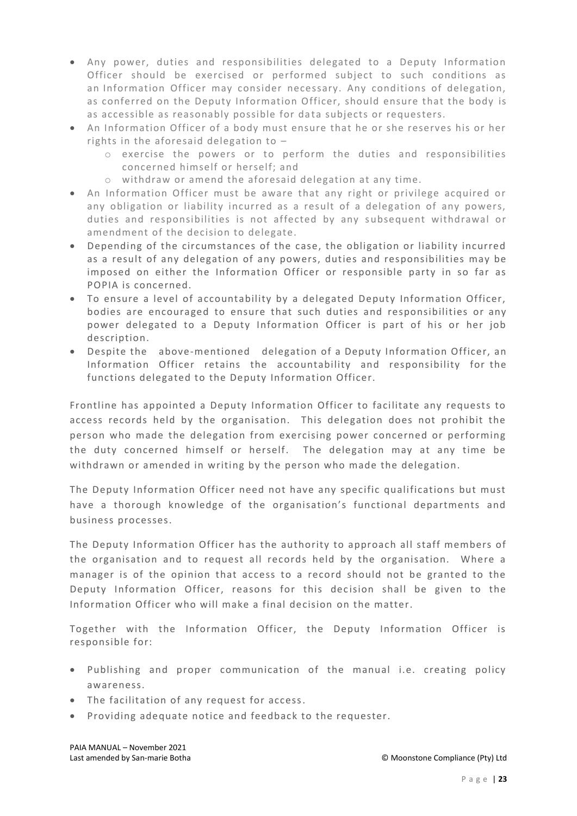- Any power, duties and responsibilities delegated to a Deputy Information Officer should be exercised or performed subject to such conditions as an Information Officer may consider necessary. Any conditions of delegation, as conferred on the Deputy Information Officer, should ensure that the body is as accessible as reasonably possible for data subjects or requesters.
- An Information Officer of a body must ensure that he or she reserves his or her rights in the aforesaid delegation to –
	- o exercise the powers or to perform the duties and responsibilities concerned himself or herself; and
	- o withdraw or amend the aforesaid delegation at any time.
- An Information Officer must be aware that any right or privilege acquired or any obligation or liability incurred as a result of a delegation of any powers, duties and responsibilities is not affected by any subsequent withdrawal or amendment of the decision to delegate.
- Depending of the circumstances of the case, the obligation or liability incurred as a result of any delegation of any powers, duties and responsibilities may be imposed on either the Information Officer or responsible party in so far as POPIA is concerned.
- To ensure a level of accountability by a delegated Deputy Information Officer, bodies are encouraged to ensure that such duties and responsibilities or any power delegated to a Deputy Information Officer is part of his or her job description.
- Despite the above-mentioned delegation of a Deputy Information Officer, an Information Officer retains the accountability and responsibility for the functions delegated to the Deputy Information Officer.

Frontline has appointed a Deputy Information Officer to facilitate any requests to access records held by the organisation. This delegation does not prohibit the person who made the delegation from exercising power concerned or performing the duty concerned himself or herself. The delegation may at any time be withdrawn or amended in writing by the person who made the delegation.

The Deputy Information Officer need not have any specific qualifications but must have a thorough knowledge of the organisation's functional departments and business processes.

The Deputy Information Officer has the authority to approach all staff members of the organisation and to request all records held by the organisation. Where a manager is of the opinion that access to a record should not be granted to the Deputy Information Officer, reasons for this decision shall be given to the Information Officer who will make a final decision on the matter.

Together with the Information Officer, the Deputy Information Officer is responsible for:

- Publishing and proper communication of the manual i.e. creating policy awareness.
- The facilitation of any request for access.
- Providing adequate notice and feedback to the requester.